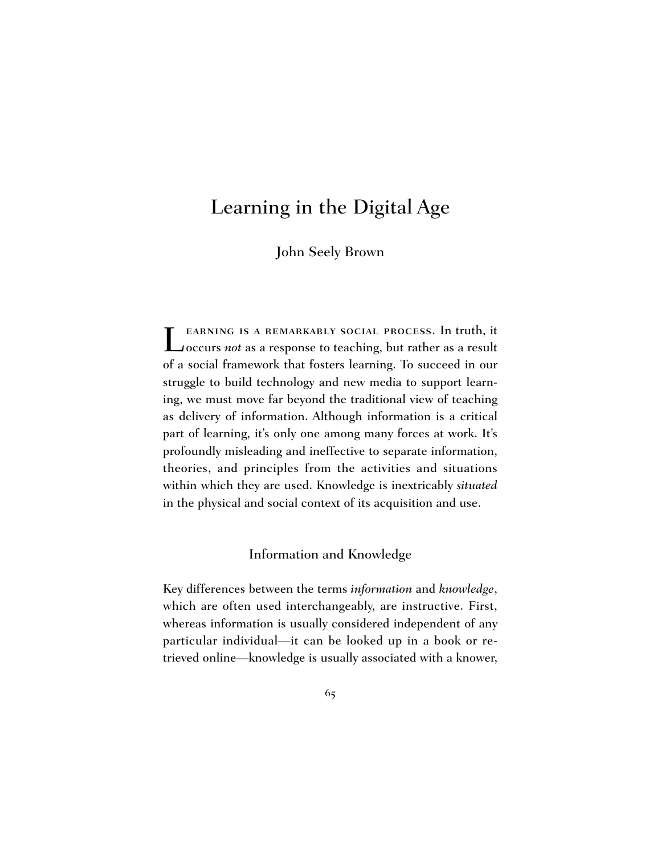# Learning in the Digital Age

John Seely Brown

Learning is a remarkably social process. In truth, it occurs *not* as a response to teaching, but rather as a result of a social framework that fosters learning. To succeed in our struggle to build technology and new media to support learning, we must move far beyond the traditional view of teaching as delivery of information. Although information is a critical part of learning, it's only one among many forces at work. It's profoundly misleading and ineffective to separate information, theories, and principles from the activities and situations within which they are used. Knowledge is inextricably *situated* in the physical and social context of its acquisition and use.

# Information and Knowledge

Key differences between the terms *information* and *knowledge*, which are often used interchangeably, are instructive. First, whereas information is usually considered independent of any particular individual—it can be looked up in a book or retrieved online—knowledge is usually associated with a knower,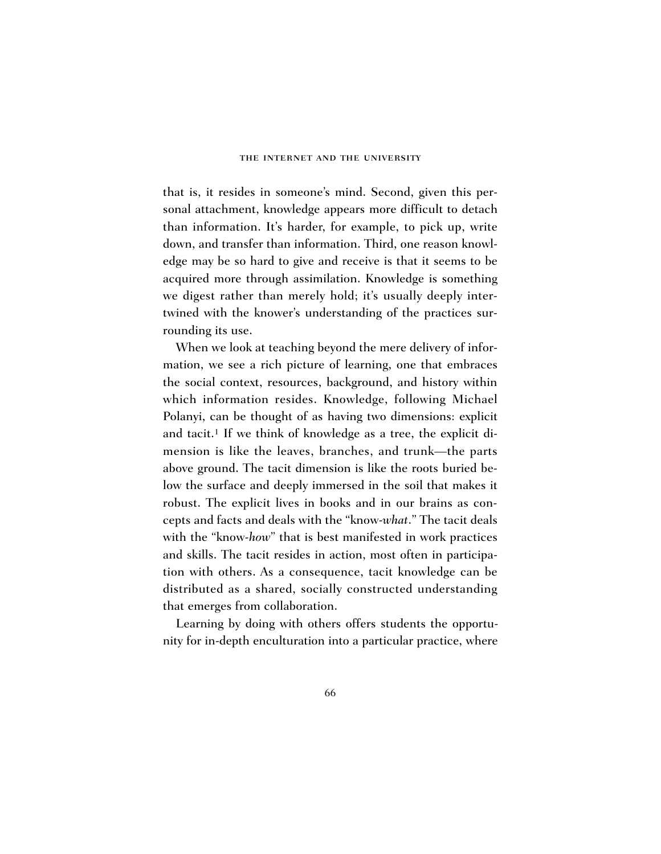that is, it resides in someone's mind. Second, given this personal attachment, knowledge appears more difficult to detach than information. It's harder, for example, to pick up, write down, and transfer than information. Third, one reason knowledge may be so hard to give and receive is that it seems to be acquired more through assimilation. Knowledge is something we digest rather than merely hold; it's usually deeply intertwined with the knower's understanding of the practices surrounding its use.

When we look at teaching beyond the mere delivery of information, we see a rich picture of learning, one that embraces the social context, resources, background, and history within which information resides. Knowledge, following Michael Polanyi, can be thought of as having two dimensions: explicit and tacit.<sup>1</sup> If we think of knowledge as a tree, the explicit dimension is like the leaves, branches, and trunk—the parts above ground. The tacit dimension is like the roots buried below the surface and deeply immersed in the soil that makes it robust. The explicit lives in books and in our brains as concepts and facts and deals with the "know-*what*." The tacit deals with the "know-*how*" that is best manifested in work practices and skills. The tacit resides in action, most often in participation with others. As a consequence, tacit knowledge can be distributed as a shared, socially constructed understanding that emerges from collaboration.

Learning by doing with others offers students the opportunity for in-depth enculturation into a particular practice, where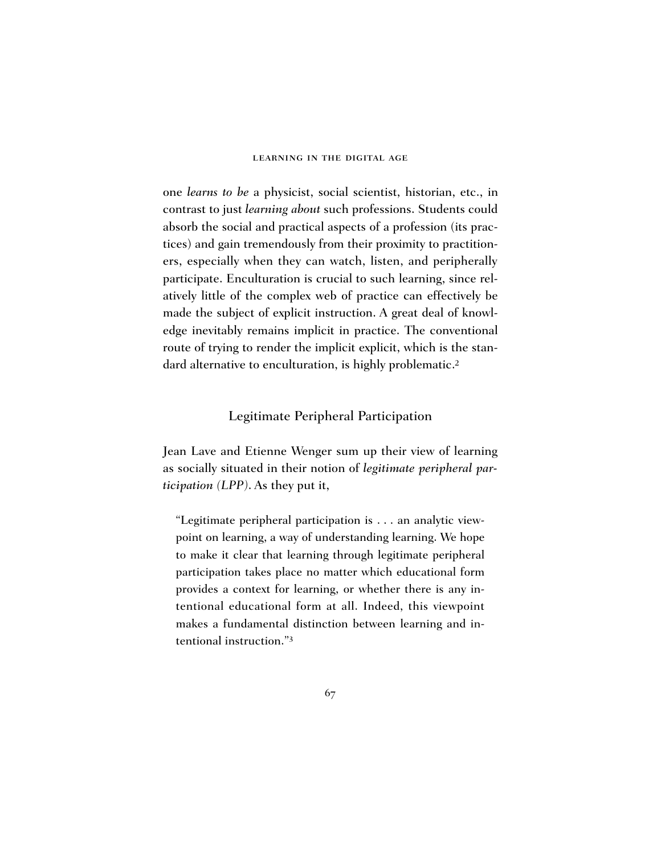one *learns to be* a physicist, social scientist, historian, etc., in contrast to just *learning about* such professions. Students could absorb the social and practical aspects of a profession (its practices) and gain tremendously from their proximity to practitioners, especially when they can watch, listen, and peripherally participate. Enculturation is crucial to such learning, since relatively little of the complex web of practice can effectively be made the subject of explicit instruction. A great deal of knowledge inevitably remains implicit in practice. The conventional route of trying to render the implicit explicit, which is the standard alternative to enculturation, is highly problematic.<sup>2</sup>

### Legitimate Peripheral Participation

Jean Lave and Etienne Wenger sum up their view of learning as socially situated in their notion of *legitimate peripheral participation (LPP)*. As they put it,

"Legitimate peripheral participation is . . . an analytic viewpoint on learning, a way of understanding learning. We hope to make it clear that learning through legitimate peripheral participation takes place no matter which educational form provides a context for learning, or whether there is any intentional educational form at all. Indeed, this viewpoint makes a fundamental distinction between learning and intentional instruction."3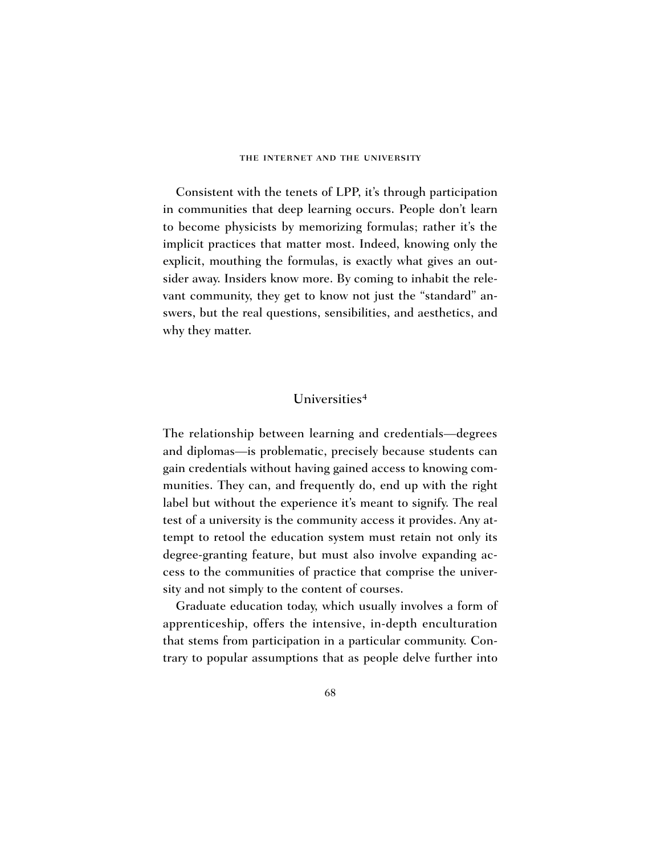Consistent with the tenets of LPP, it's through participation in communities that deep learning occurs. People don't learn to become physicists by memorizing formulas; rather it's the implicit practices that matter most. Indeed, knowing only the explicit, mouthing the formulas, is exactly what gives an outsider away. Insiders know more. By coming to inhabit the relevant community, they get to know not just the "standard" answers, but the real questions, sensibilities, and aesthetics, and why they matter.

# Universities4

The relationship between learning and credentials—degrees and diplomas—is problematic, precisely because students can gain credentials without having gained access to knowing communities. They can, and frequently do, end up with the right label but without the experience it's meant to signify. The real test of a university is the community access it provides. Any attempt to retool the education system must retain not only its degree-granting feature, but must also involve expanding access to the communities of practice that comprise the university and not simply to the content of courses.

Graduate education today, which usually involves a form of apprenticeship, offers the intensive, in-depth enculturation that stems from participation in a particular community. Contrary to popular assumptions that as people delve further into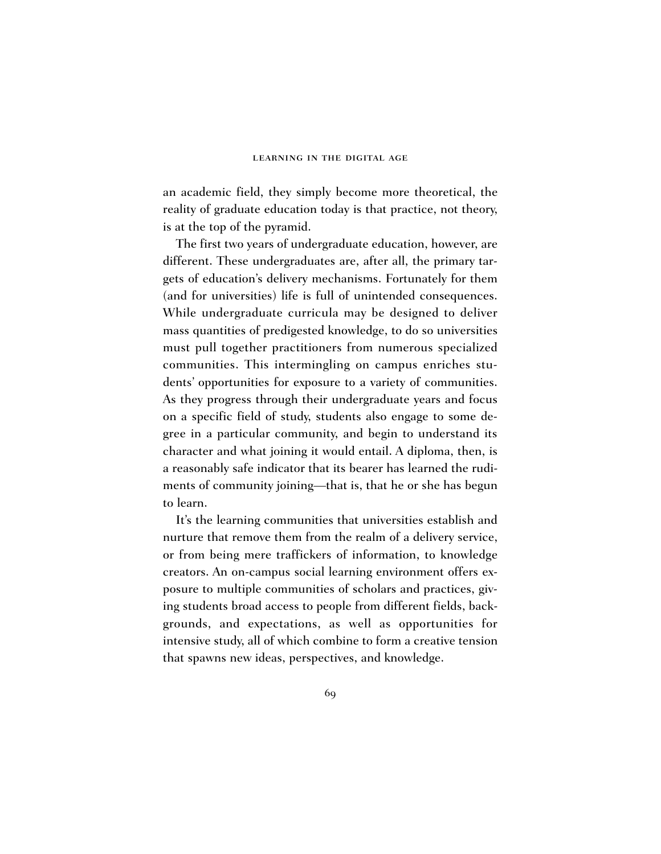an academic field, they simply become more theoretical, the reality of graduate education today is that practice, not theory, is at the top of the pyramid.

The first two years of undergraduate education, however, are different. These undergraduates are, after all, the primary targets of education's delivery mechanisms. Fortunately for them (and for universities) life is full of unintended consequences. While undergraduate curricula may be designed to deliver mass quantities of predigested knowledge, to do so universities must pull together practitioners from numerous specialized communities. This intermingling on campus enriches students' opportunities for exposure to a variety of communities. As they progress through their undergraduate years and focus on a specific field of study, students also engage to some degree in a particular community, and begin to understand its character and what joining it would entail. A diploma, then, is a reasonably safe indicator that its bearer has learned the rudiments of community joining—that is, that he or she has begun to learn.

It's the learning communities that universities establish and nurture that remove them from the realm of a delivery service, or from being mere traffickers of information, to knowledge creators. An on-campus social learning environment offers exposure to multiple communities of scholars and practices, giving students broad access to people from different fields, backgrounds, and expectations, as well as opportunities for intensive study, all of which combine to form a creative tension that spawns new ideas, perspectives, and knowledge.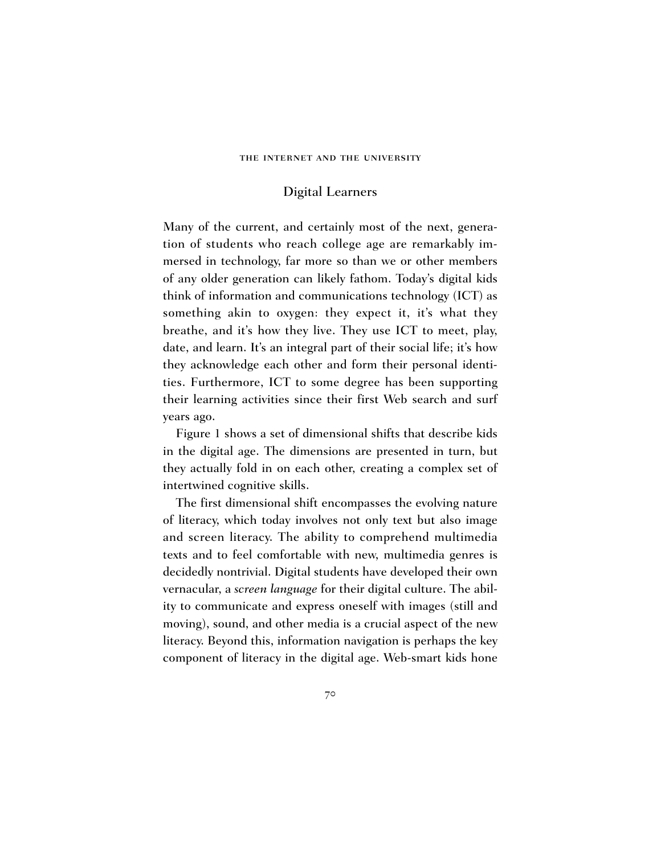# Digital Learners

Many of the current, and certainly most of the next, generation of students who reach college age are remarkably immersed in technology, far more so than we or other members of any older generation can likely fathom. Today's digital kids think of information and communications technology (ICT) as something akin to oxygen: they expect it, it's what they breathe, and it's how they live. They use ICT to meet, play, date, and learn. It's an integral part of their social life; it's how they acknowledge each other and form their personal identities. Furthermore, ICT to some degree has been supporting their learning activities since their first Web search and surf years ago.

Figure 1 shows a set of dimensional shifts that describe kids in the digital age. The dimensions are presented in turn, but they actually fold in on each other, creating a complex set of intertwined cognitive skills.

The first dimensional shift encompasses the evolving nature of literacy, which today involves not only text but also image and screen literacy. The ability to comprehend multimedia texts and to feel comfortable with new, multimedia genres is decidedly nontrivial. Digital students have developed their own vernacular, a *screen language* for their digital culture. The ability to communicate and express oneself with images (still and moving), sound, and other media is a crucial aspect of the new literacy. Beyond this, information navigation is perhaps the key component of literacy in the digital age. Web-smart kids hone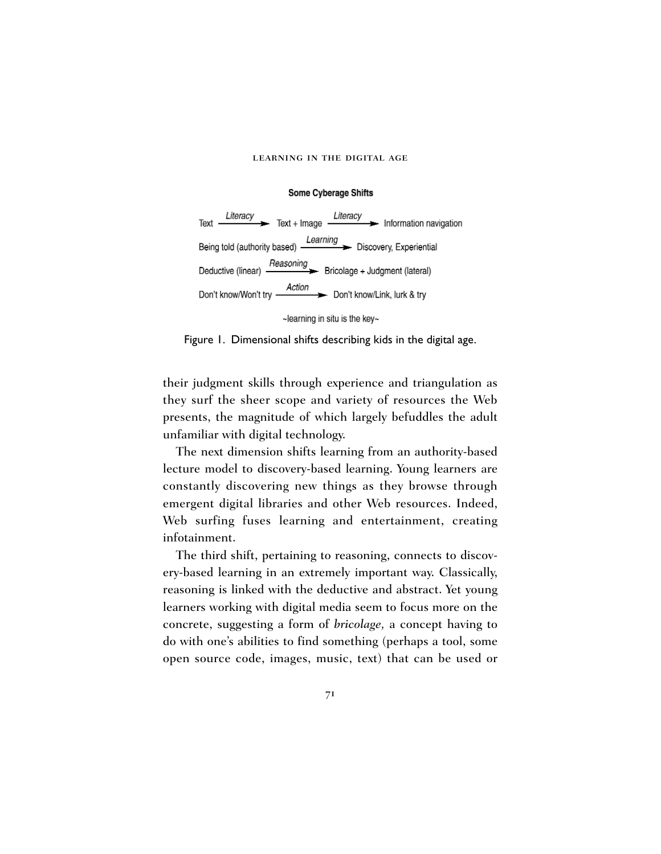#### Some Cyberage Shifts



Figure 1. Dimensional shifts describing kids in the digital age.

their judgment skills through experience and triangulation as they surf the sheer scope and variety of resources the Web presents, the magnitude of which largely befuddles the adult unfamiliar with digital technology.

The next dimension shifts learning from an authority-based lecture model to discovery-based learning. Young learners are constantly discovering new things as they browse through emergent digital libraries and other Web resources. Indeed, Web surfing fuses learning and entertainment, creating infotainment.

The third shift, pertaining to reasoning, connects to discovery-based learning in an extremely important way. Classically, reasoning is linked with the deductive and abstract. Yet young learners working with digital media seem to focus more on the concrete, suggesting a form of *bricolage,* a concept having to do with one's abilities to find something (perhaps a tool, some open source code, images, music, text) that can be used or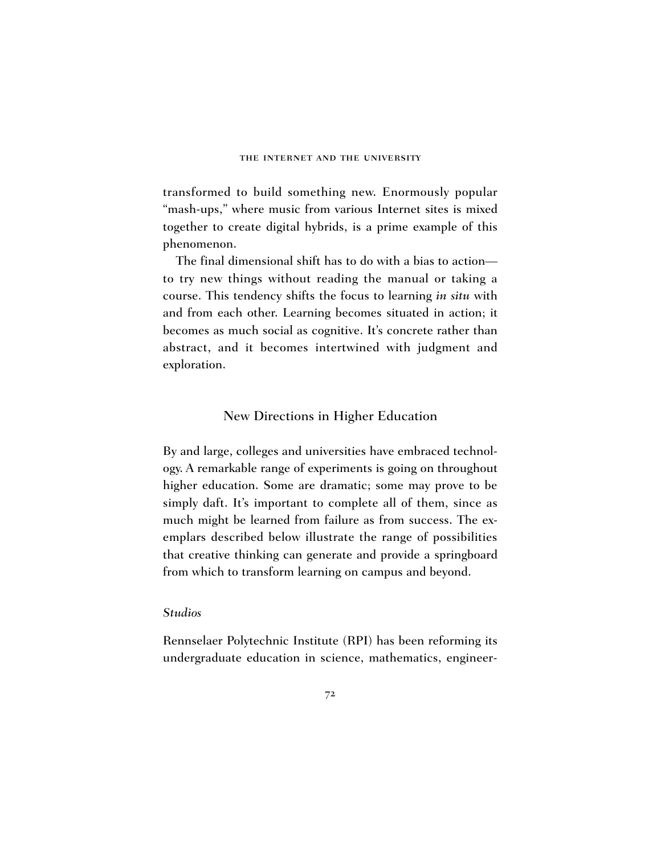transformed to build something new. Enormously popular "mash-ups," where music from various Internet sites is mixed together to create digital hybrids, is a prime example of this phenomenon.

The final dimensional shift has to do with a bias to action to try new things without reading the manual or taking a course. This tendency shifts the focus to learning *in situ* with and from each other. Learning becomes situated in action; it becomes as much social as cognitive. It's concrete rather than abstract, and it becomes intertwined with judgment and exploration.

### New Directions in Higher Education

By and large, colleges and universities have embraced technology. A remarkable range of experiments is going on throughout higher education. Some are dramatic; some may prove to be simply daft. It's important to complete all of them, since as much might be learned from failure as from success. The exemplars described below illustrate the range of possibilities that creative thinking can generate and provide a springboard from which to transform learning on campus and beyond.

### *Studios*

Rennselaer Polytechnic Institute (RPI) has been reforming its undergraduate education in science, mathematics, engineer-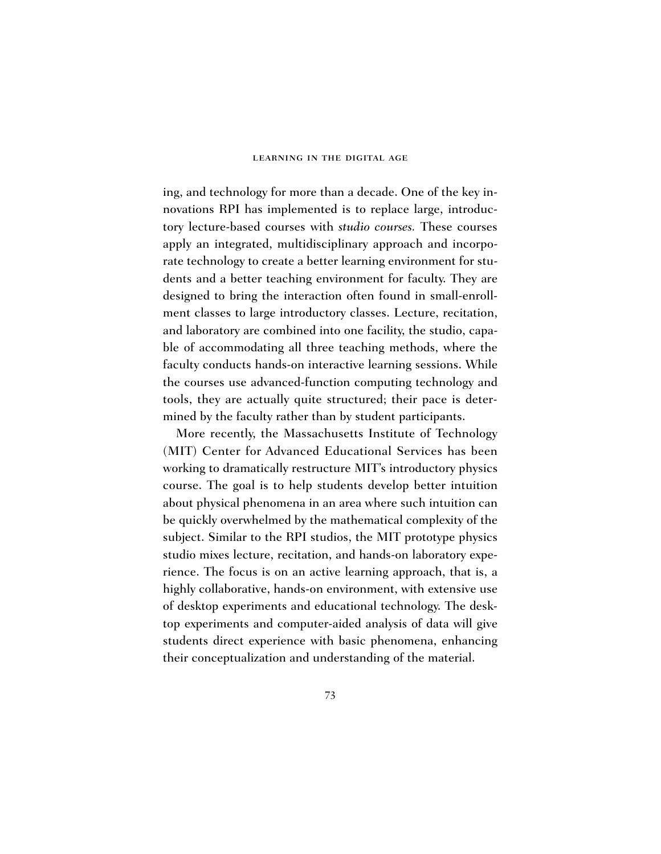ing, and technology for more than a decade. One of the key innovations RPI has implemented is to replace large, introductory lecture-based courses with *studio courses.* These courses apply an integrated, multidisciplinary approach and incorporate technology to create a better learning environment for students and a better teaching environment for faculty. They are designed to bring the interaction often found in small-enrollment classes to large introductory classes. Lecture, recitation, and laboratory are combined into one facility, the studio, capable of accommodating all three teaching methods, where the faculty conducts hands-on interactive learning sessions. While the courses use advanced-function computing technology and tools, they are actually quite structured; their pace is determined by the faculty rather than by student participants.

More recently, the Massachusetts Institute of Technology (MIT) Center for Advanced Educational Services has been working to dramatically restructure MIT's introductory physics course. The goal is to help students develop better intuition about physical phenomena in an area where such intuition can be quickly overwhelmed by the mathematical complexity of the subject. Similar to the RPI studios, the MIT prototype physics studio mixes lecture, recitation, and hands-on laboratory experience. The focus is on an active learning approach, that is, a highly collaborative, hands-on environment, with extensive use of desktop experiments and educational technology. The desktop experiments and computer-aided analysis of data will give students direct experience with basic phenomena, enhancing their conceptualization and understanding of the material.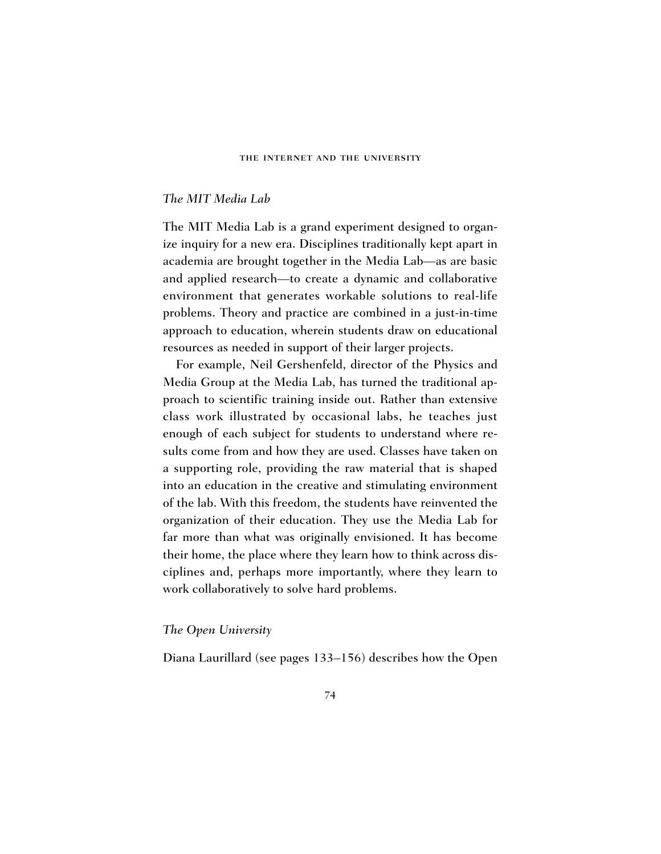### *The MIT Media Lab*

The MIT Media Lab is a grand experiment designed to organize inquiry for a new era. Disciplines traditionally kept apart in academia are brought together in the Media Lab—as are basic and applied research—to create a dynamic and collaborative environment that generates workable solutions to real-life problems. Theory and practice are combined in a just-in-time approach to education, wherein students draw on educational resources as needed in support of their larger projects.

For example, Neil Gershenfeld, director of the Physics and Media Group at the Media Lab, has turned the traditional approach to scientific training inside out. Rather than extensive class work illustrated by occasional labs, he teaches just enough of each subject for students to understand where results come from and how they are used. Classes have taken on a supporting role, providing the raw material that is shaped into an education in the creative and stimulating environment of the lab. With this freedom, the students have reinvented the organization of their education. They use the Media Lab for far more than what was originally envisioned. It has become their home, the place where they learn how to think across disciplines and, perhaps more importantly, where they learn to work collaboratively to solve hard problems.

### *The Open University*

Diana Laurillard (see pages 133–156) describes how the Open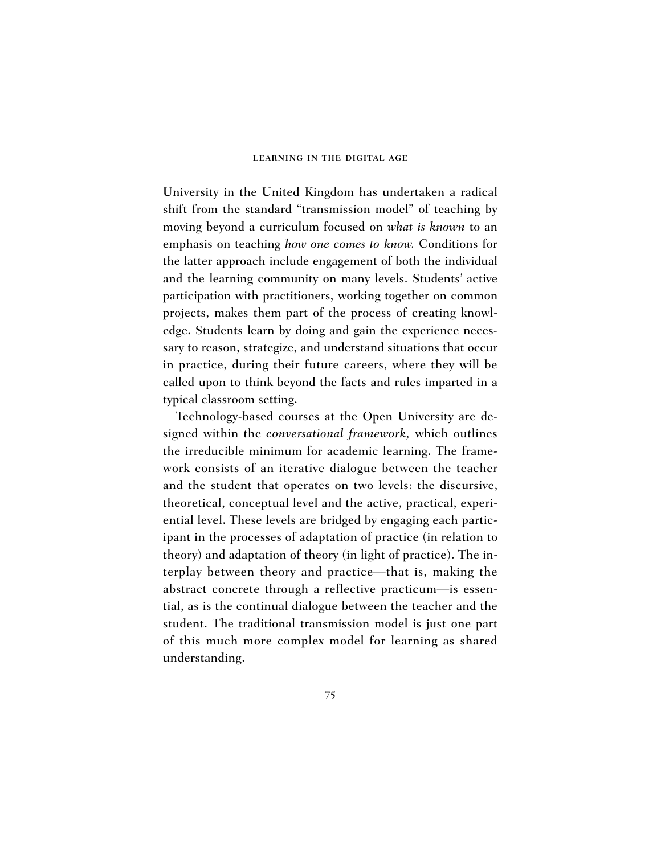University in the United Kingdom has undertaken a radical shift from the standard "transmission model" of teaching by moving beyond a curriculum focused on *what is known* to an emphasis on teaching *how one comes to know.* Conditions for the latter approach include engagement of both the individual and the learning community on many levels. Students' active participation with practitioners, working together on common projects, makes them part of the process of creating knowledge. Students learn by doing and gain the experience necessary to reason, strategize, and understand situations that occur in practice, during their future careers, where they will be called upon to think beyond the facts and rules imparted in a typical classroom setting.

Technology-based courses at the Open University are designed within the *conversational framework,* which outlines the irreducible minimum for academic learning. The framework consists of an iterative dialogue between the teacher and the student that operates on two levels: the discursive, theoretical, conceptual level and the active, practical, experiential level. These levels are bridged by engaging each participant in the processes of adaptation of practice (in relation to theory) and adaptation of theory (in light of practice). The interplay between theory and practice—that is, making the abstract concrete through a reflective practicum—is essential, as is the continual dialogue between the teacher and the student. The traditional transmission model is just one part of this much more complex model for learning as shared understanding.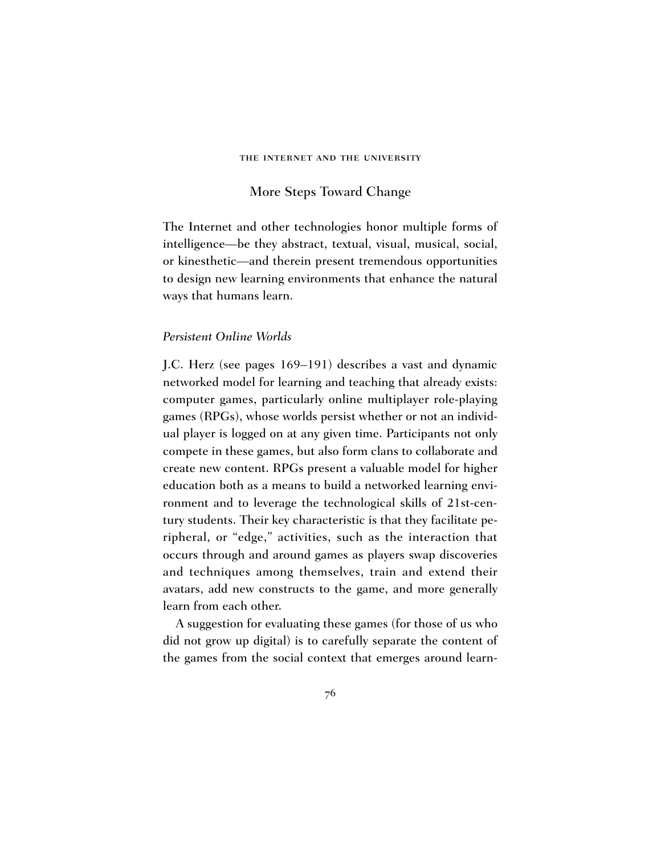# More Steps Toward Change

The Internet and other technologies honor multiple forms of intelligence—be they abstract, textual, visual, musical, social, or kinesthetic—and therein present tremendous opportunities to design new learning environments that enhance the natural ways that humans learn.

### *Persistent Online Worlds*

J.C. Herz (see pages 169–191) describes a vast and dynamic networked model for learning and teaching that already exists: computer games, particularly online multiplayer role-playing games (RPGs), whose worlds persist whether or not an individual player is logged on at any given time. Participants not only compete in these games, but also form clans to collaborate and create new content. RPGs present a valuable model for higher education both as a means to build a networked learning environment and to leverage the technological skills of 21st-century students. Their key characteristic is that they facilitate peripheral, or "edge," activities, such as the interaction that occurs through and around games as players swap discoveries and techniques among themselves, train and extend their avatars, add new constructs to the game, and more generally learn from each other.

A suggestion for evaluating these games (for those of us who did not grow up digital) is to carefully separate the content of the games from the social context that emerges around learn-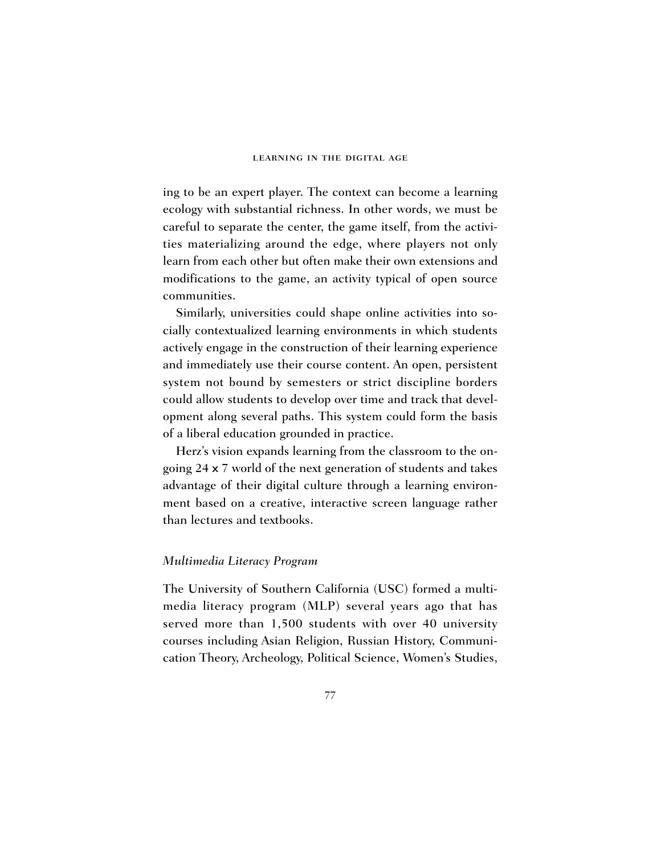ing to be an expert player. The context can become a learning ecology with substantial richness. In other words, we must be careful to separate the center, the game itself, from the activities materializing around the edge, where players not only learn from each other but often make their own extensions and modifications to the game, an activity typical of open source communities.

Similarly, universities could shape online activities into socially contextualized learning environments in which students actively engage in the construction of their learning experience and immediately use their course content. An open, persistent system not bound by semesters or strict discipline borders could allow students to develop over time and track that development along several paths. This system could form the basis of a liberal education grounded in practice.

Herz's vision expands learning from the classroom to the ongoing 24 x 7 world of the next generation of students and takes advantage of their digital culture through a learning environment based on a creative, interactive screen language rather than lectures and textbooks.

### *Multimedia Literacy Program*

The University of Southern California (USC) formed a multimedia literacy program (MLP) several years ago that has served more than 1,500 students with over 40 university courses including Asian Religion, Russian History, Communication Theory, Archeology, Political Science, Women's Studies,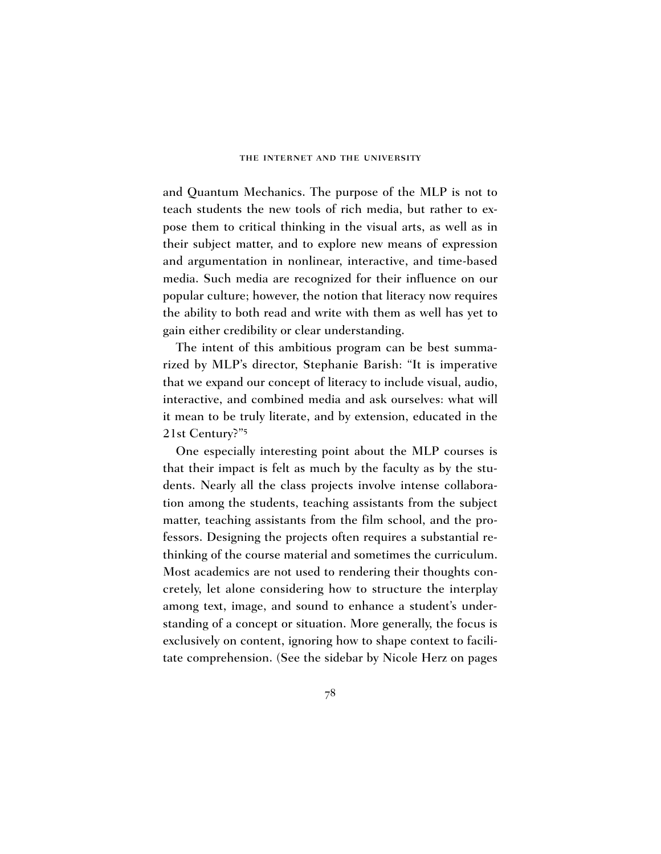and Quantum Mechanics. The purpose of the MLP is not to teach students the new tools of rich media, but rather to expose them to critical thinking in the visual arts, as well as in their subject matter, and to explore new means of expression and argumentation in nonlinear, interactive, and time-based media. Such media are recognized for their influence on our popular culture; however, the notion that literacy now requires the ability to both read and write with them as well has yet to gain either credibility or clear understanding.

The intent of this ambitious program can be best summarized by MLP's director, Stephanie Barish: "It is imperative that we expand our concept of literacy to include visual, audio, interactive, and combined media and ask ourselves: what will it mean to be truly literate, and by extension, educated in the 21st Century?"5

One especially interesting point about the MLP courses is that their impact is felt as much by the faculty as by the students. Nearly all the class projects involve intense collaboration among the students, teaching assistants from the subject matter, teaching assistants from the film school, and the professors. Designing the projects often requires a substantial rethinking of the course material and sometimes the curriculum. Most academics are not used to rendering their thoughts concretely, let alone considering how to structure the interplay among text, image, and sound to enhance a student's understanding of a concept or situation. More generally, the focus is exclusively on content, ignoring how to shape context to facilitate comprehension. (See the sidebar by Nicole Herz on pages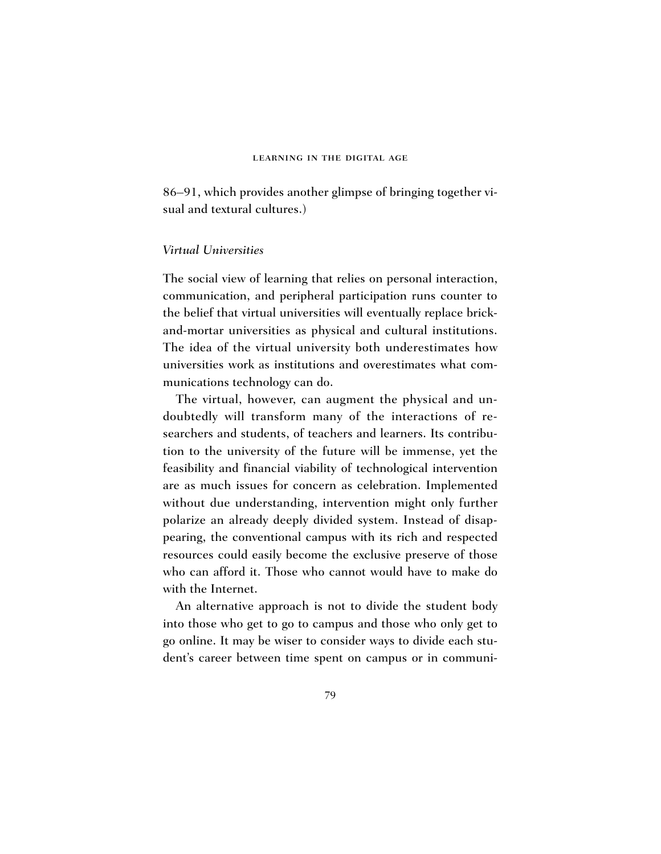86–91, which provides another glimpse of bringing together visual and textural cultures.)

### *Virtual Universities*

The social view of learning that relies on personal interaction, communication, and peripheral participation runs counter to the belief that virtual universities will eventually replace brickand-mortar universities as physical and cultural institutions. The idea of the virtual university both underestimates how universities work as institutions and overestimates what communications technology can do.

The virtual, however, can augment the physical and undoubtedly will transform many of the interactions of researchers and students, of teachers and learners. Its contribution to the university of the future will be immense, yet the feasibility and financial viability of technological intervention are as much issues for concern as celebration. Implemented without due understanding, intervention might only further polarize an already deeply divided system. Instead of disappearing, the conventional campus with its rich and respected resources could easily become the exclusive preserve of those who can afford it. Those who cannot would have to make do with the Internet.

An alternative approach is not to divide the student body into those who get to go to campus and those who only get to go online. It may be wiser to consider ways to divide each student's career between time spent on campus or in communi-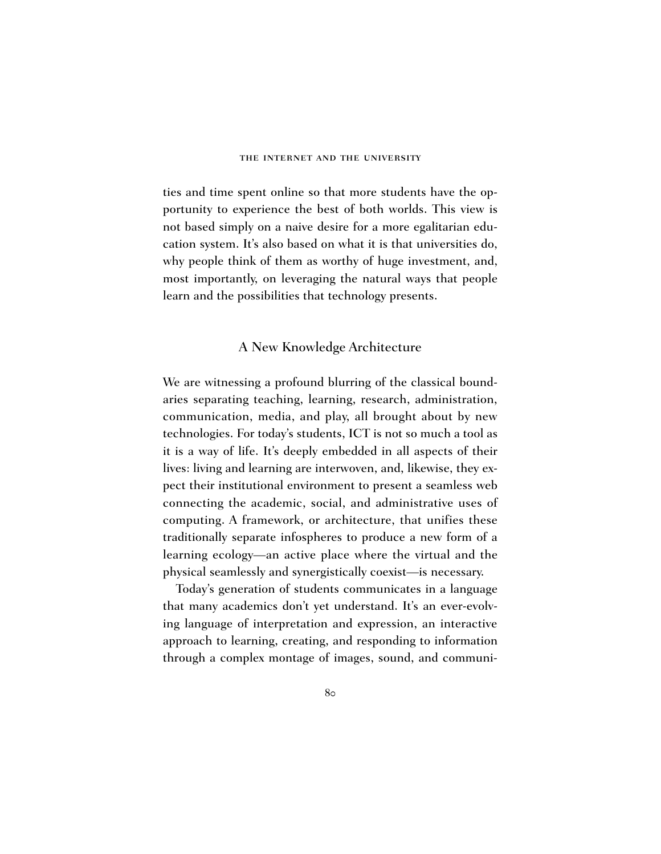ties and time spent online so that more students have the opportunity to experience the best of both worlds. This view is not based simply on a naive desire for a more egalitarian education system. It's also based on what it is that universities do, why people think of them as worthy of huge investment, and, most importantly, on leveraging the natural ways that people learn and the possibilities that technology presents.

### A New Knowledge Architecture

We are witnessing a profound blurring of the classical boundaries separating teaching, learning, research, administration, communication, media, and play, all brought about by new technologies. For today's students, ICT is not so much a tool as it is a way of life. It's deeply embedded in all aspects of their lives: living and learning are interwoven, and, likewise, they expect their institutional environment to present a seamless web connecting the academic, social, and administrative uses of computing. A framework, or architecture, that unifies these traditionally separate infospheres to produce a new form of a learning ecology—an active place where the virtual and the physical seamlessly and synergistically coexist—is necessary.

Today's generation of students communicates in a language that many academics don't yet understand. It's an ever-evolving language of interpretation and expression, an interactive approach to learning, creating, and responding to information through a complex montage of images, sound, and communi-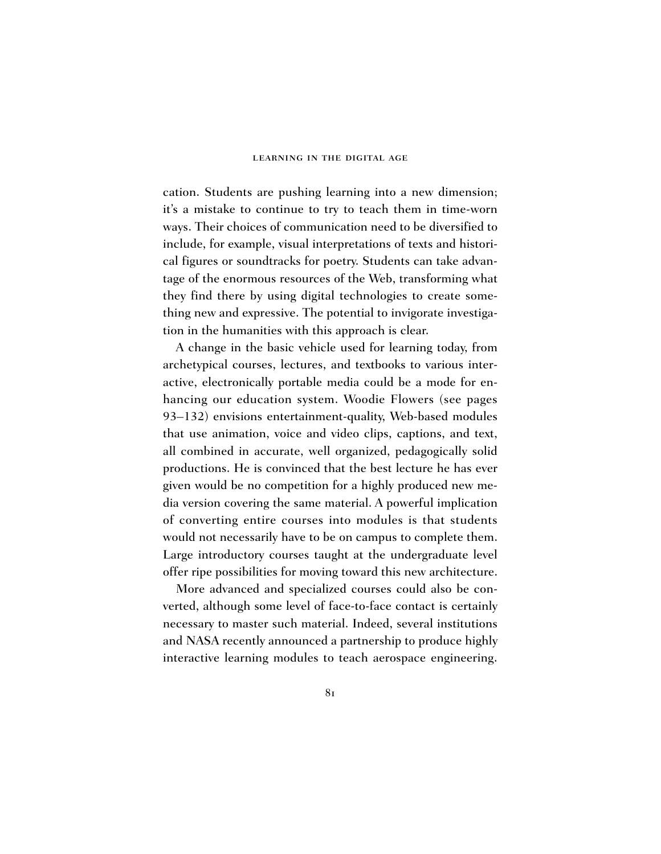cation. Students are pushing learning into a new dimension; it's a mistake to continue to try to teach them in time-worn ways. Their choices of communication need to be diversified to include, for example, visual interpretations of texts and historical figures or soundtracks for poetry. Students can take advantage of the enormous resources of the Web, transforming what they find there by using digital technologies to create something new and expressive. The potential to invigorate investigation in the humanities with this approach is clear.

A change in the basic vehicle used for learning today, from archetypical courses, lectures, and textbooks to various interactive, electronically portable media could be a mode for enhancing our education system. Woodie Flowers (see pages 93–132) envisions entertainment-quality, Web-based modules that use animation, voice and video clips, captions, and text, all combined in accurate, well organized, pedagogically solid productions. He is convinced that the best lecture he has ever given would be no competition for a highly produced new media version covering the same material. A powerful implication of converting entire courses into modules is that students would not necessarily have to be on campus to complete them. Large introductory courses taught at the undergraduate level offer ripe possibilities for moving toward this new architecture.

More advanced and specialized courses could also be converted, although some level of face-to-face contact is certainly necessary to master such material. Indeed, several institutions and NASA recently announced a partnership to produce highly interactive learning modules to teach aerospace engineering.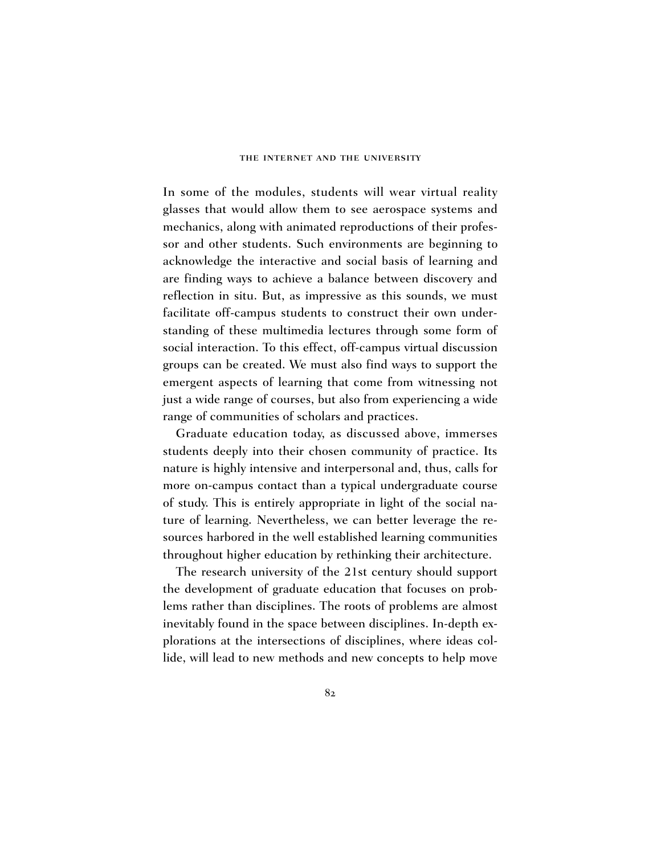In some of the modules, students will wear virtual reality glasses that would allow them to see aerospace systems and mechanics, along with animated reproductions of their professor and other students. Such environments are beginning to acknowledge the interactive and social basis of learning and are finding ways to achieve a balance between discovery and reflection in situ. But, as impressive as this sounds, we must facilitate off-campus students to construct their own understanding of these multimedia lectures through some form of social interaction. To this effect, off-campus virtual discussion groups can be created. We must also find ways to support the emergent aspects of learning that come from witnessing not just a wide range of courses, but also from experiencing a wide range of communities of scholars and practices.

Graduate education today, as discussed above, immerses students deeply into their chosen community of practice. Its nature is highly intensive and interpersonal and, thus, calls for more on-campus contact than a typical undergraduate course of study. This is entirely appropriate in light of the social nature of learning. Nevertheless, we can better leverage the resources harbored in the well established learning communities throughout higher education by rethinking their architecture.

The research university of the 21st century should support the development of graduate education that focuses on problems rather than disciplines. The roots of problems are almost inevitably found in the space between disciplines. In-depth explorations at the intersections of disciplines, where ideas collide, will lead to new methods and new concepts to help move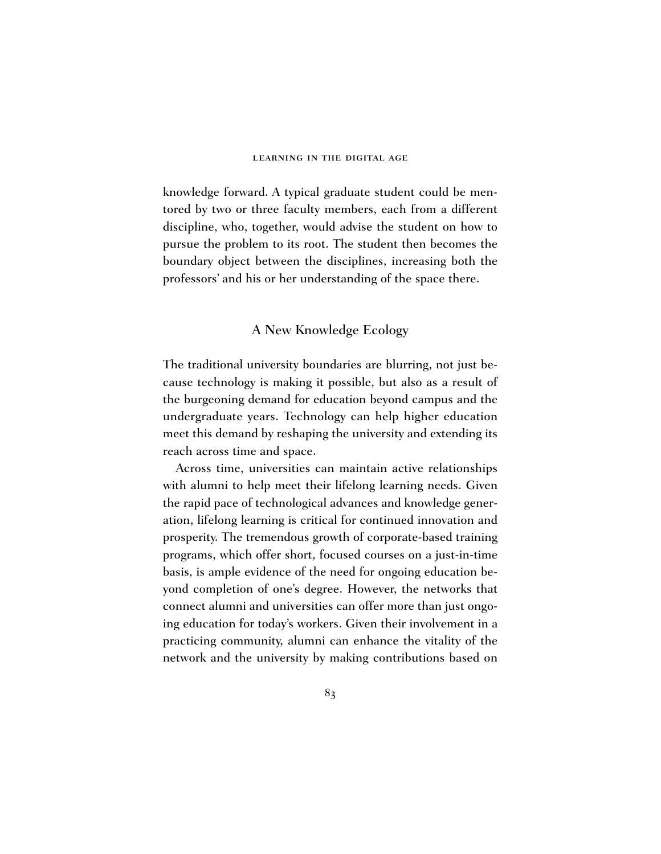knowledge forward. A typical graduate student could be mentored by two or three faculty members, each from a different discipline, who, together, would advise the student on how to pursue the problem to its root. The student then becomes the boundary object between the disciplines, increasing both the professors' and his or her understanding of the space there.

# A New Knowledge Ecology

The traditional university boundaries are blurring, not just because technology is making it possible, but also as a result of the burgeoning demand for education beyond campus and the undergraduate years. Technology can help higher education meet this demand by reshaping the university and extending its reach across time and space.

Across time, universities can maintain active relationships with alumni to help meet their lifelong learning needs. Given the rapid pace of technological advances and knowledge generation, lifelong learning is critical for continued innovation and prosperity. The tremendous growth of corporate-based training programs, which offer short, focused courses on a just-in-time basis, is ample evidence of the need for ongoing education beyond completion of one's degree. However, the networks that connect alumni and universities can offer more than just ongoing education for today's workers. Given their involvement in a practicing community, alumni can enhance the vitality of the network and the university by making contributions based on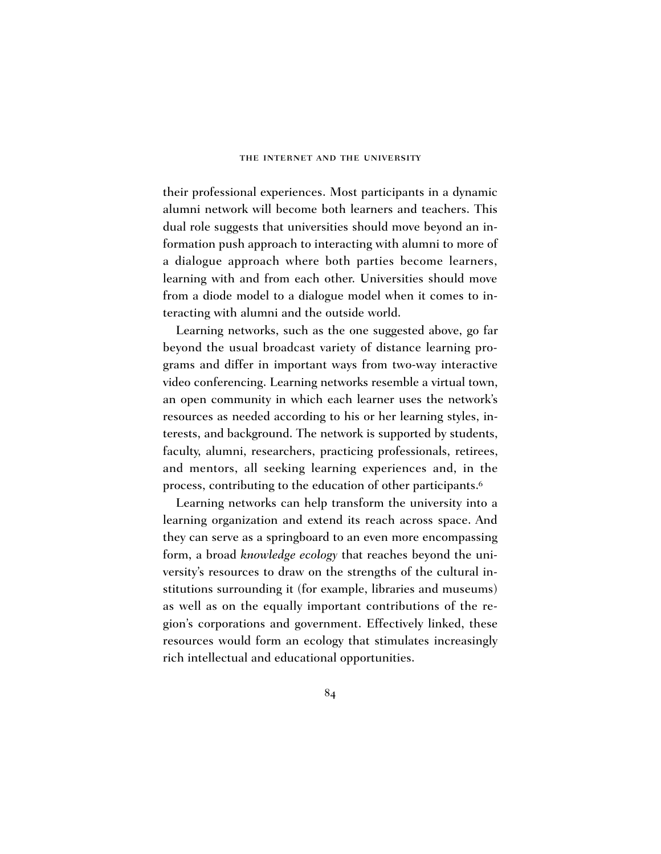their professional experiences. Most participants in a dynamic alumni network will become both learners and teachers. This dual role suggests that universities should move beyond an information push approach to interacting with alumni to more of a dialogue approach where both parties become learners, learning with and from each other. Universities should move from a diode model to a dialogue model when it comes to interacting with alumni and the outside world.

Learning networks, such as the one suggested above, go far beyond the usual broadcast variety of distance learning programs and differ in important ways from two-way interactive video conferencing. Learning networks resemble a virtual town, an open community in which each learner uses the network's resources as needed according to his or her learning styles, interests, and background. The network is supported by students, faculty, alumni, researchers, practicing professionals, retirees, and mentors, all seeking learning experiences and, in the process, contributing to the education of other participants.6

Learning networks can help transform the university into a learning organization and extend its reach across space. And they can serve as a springboard to an even more encompassing form, a broad *knowledge ecology* that reaches beyond the university's resources to draw on the strengths of the cultural institutions surrounding it (for example, libraries and museums) as well as on the equally important contributions of the region's corporations and government. Effectively linked, these resources would form an ecology that stimulates increasingly rich intellectual and educational opportunities.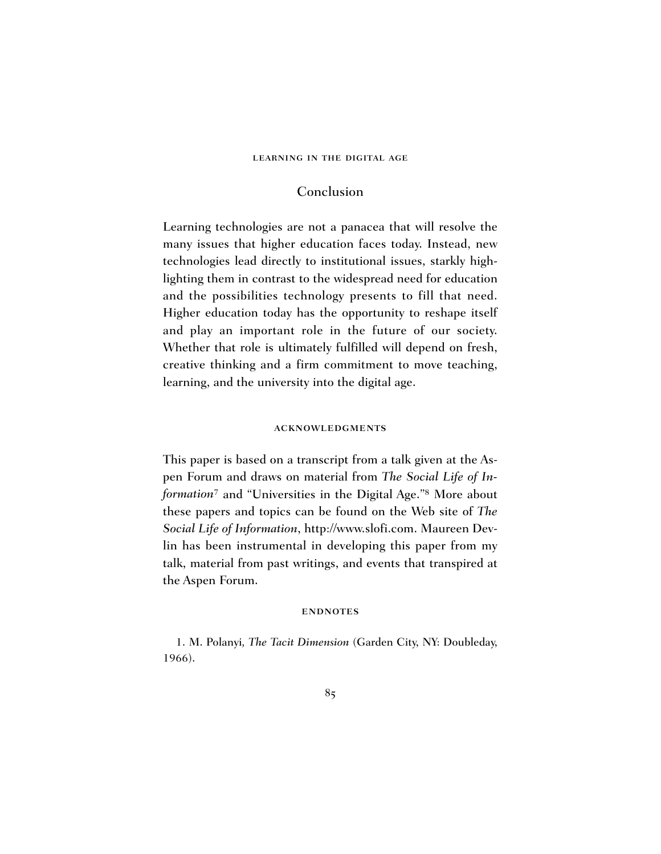# Conclusion

Learning technologies are not a panacea that will resolve the many issues that higher education faces today. Instead, new technologies lead directly to institutional issues, starkly highlighting them in contrast to the widespread need for education and the possibilities technology presents to fill that need. Higher education today has the opportunity to reshape itself and play an important role in the future of our society. Whether that role is ultimately fulfilled will depend on fresh, creative thinking and a firm commitment to move teaching, learning, and the university into the digital age.

### acknowledgments

This paper is based on a transcript from a talk given at the Aspen Forum and draws on material from *The Social Life of Information*<sup>7</sup> and "Universities in the Digital Age."8 More about these papers and topics can be found on the Web site of *The Social Life of Information*, http://www.slofi.com. Maureen Devlin has been instrumental in developing this paper from my talk, material from past writings, and events that transpired at the Aspen Forum.

#### **ENDNOTES**

1. M. Polanyi*, The Tacit Dimension* (Garden City, NY: Doubleday, 1966).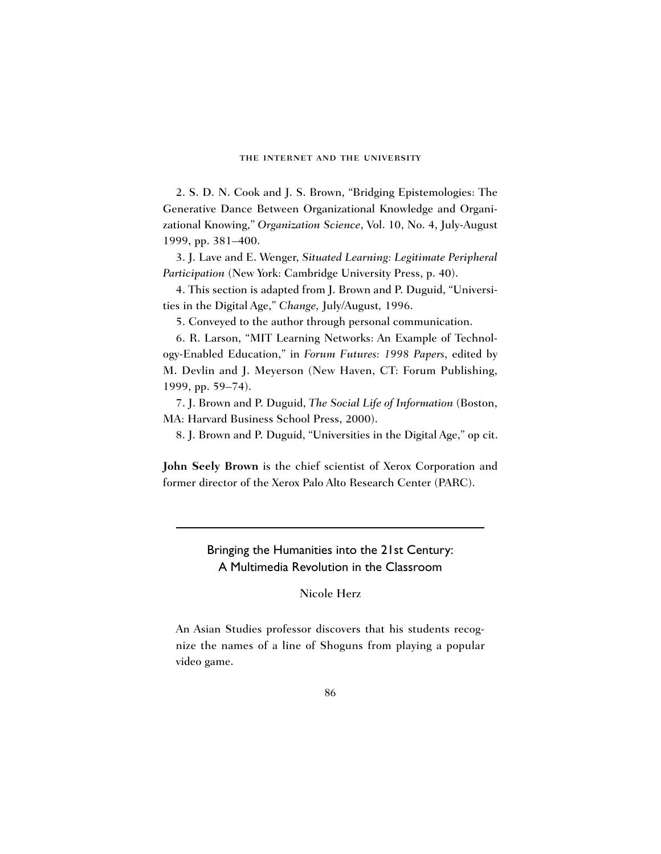2. S. D. N. Cook and J. S. Brown, "Bridging Epistemologies: The Generative Dance Between Organizational Knowledge and Organizational Knowing," *Organization Science*, Vol. 10, No. 4, July-August 1999, pp. 381–400.

3. J. Lave and E. Wenger, *Situated Learning: Legitimate Peripheral Participation* (New York: Cambridge University Press, p. 40).

4. This section is adapted from J. Brown and P. Duguid, "Universities in the Digital Age," *Change,* July/August*,* 1996.

5. Conveyed to the author through personal communication.

6. R. Larson, "MIT Learning Networks: An Example of Technology-Enabled Education," in *Forum Futures: 1998 Papers*, edited by M. Devlin and J. Meyerson (New Haven, CT: Forum Publishing, 1999, pp. 59–74).

7. J. Brown and P. Duguid, *The Social Life of Information* (Boston, MA: Harvard Business School Press, 2000).

8. J. Brown and P. Duguid, "Universities in the Digital Age," op cit.

**John Seely Brown** is the chief scientist of Xerox Corporation and former director of the Xerox Palo Alto Research Center (PARC).

> Bringing the Humanities into the 21st Century: A Multimedia Revolution in the Classroom

> > Nicole Herz

An Asian Studies professor discovers that his students recognize the names of a line of Shoguns from playing a popular video game.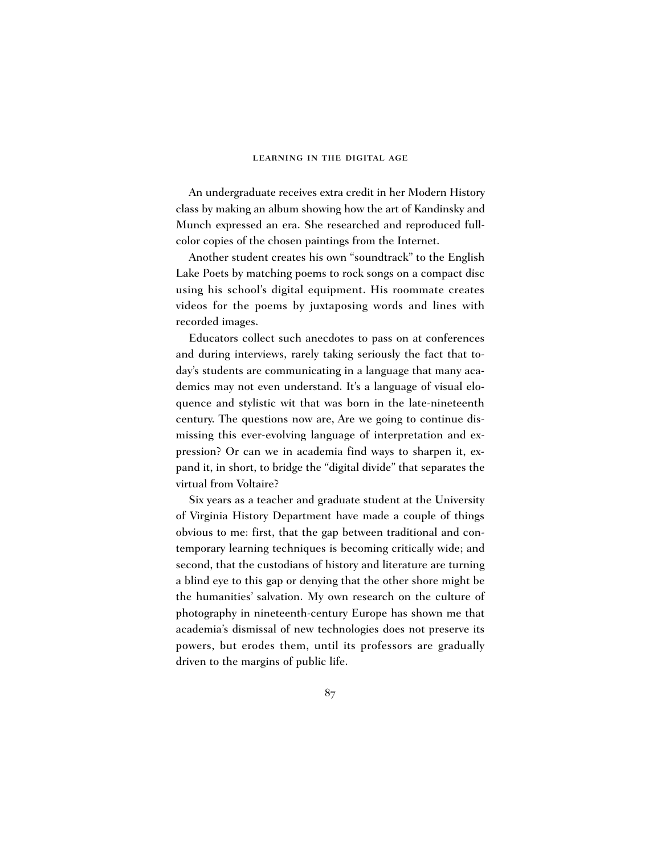An undergraduate receives extra credit in her Modern History class by making an album showing how the art of Kandinsky and Munch expressed an era. She researched and reproduced fullcolor copies of the chosen paintings from the Internet.

Another student creates his own "soundtrack" to the English Lake Poets by matching poems to rock songs on a compact disc using his school's digital equipment. His roommate creates videos for the poems by juxtaposing words and lines with recorded images.

Educators collect such anecdotes to pass on at conferences and during interviews, rarely taking seriously the fact that today's students are communicating in a language that many academics may not even understand. It's a language of visual eloquence and stylistic wit that was born in the late-nineteenth century. The questions now are, Are we going to continue dismissing this ever-evolving language of interpretation and expression? Or can we in academia find ways to sharpen it, expand it, in short, to bridge the "digital divide" that separates the virtual from Voltaire?

Six years as a teacher and graduate student at the University of Virginia History Department have made a couple of things obvious to me: first, that the gap between traditional and contemporary learning techniques is becoming critically wide; and second, that the custodians of history and literature are turning a blind eye to this gap or denying that the other shore might be the humanities' salvation. My own research on the culture of photography in nineteenth-century Europe has shown me that academia's dismissal of new technologies does not preserve its powers, but erodes them, until its professors are gradually driven to the margins of public life.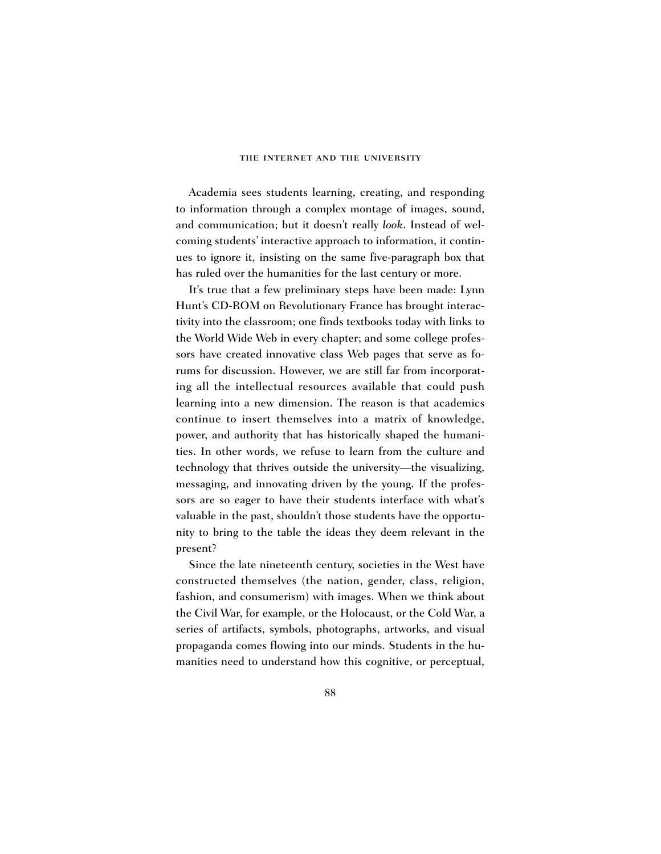Academia sees students learning, creating, and responding to information through a complex montage of images, sound, and communication; but it doesn't really *look*. Instead of welcoming students' interactive approach to information, it continues to ignore it, insisting on the same five-paragraph box that has ruled over the humanities for the last century or more.

It's true that a few preliminary steps have been made: Lynn Hunt's CD-ROM on Revolutionary France has brought interactivity into the classroom; one finds textbooks today with links to the World Wide Web in every chapter; and some college professors have created innovative class Web pages that serve as forums for discussion. However, we are still far from incorporating all the intellectual resources available that could push learning into a new dimension. The reason is that academics continue to insert themselves into a matrix of knowledge, power, and authority that has historically shaped the humanities. In other words, we refuse to learn from the culture and technology that thrives outside the university—the visualizing, messaging, and innovating driven by the young. If the professors are so eager to have their students interface with what's valuable in the past, shouldn't those students have the opportunity to bring to the table the ideas they deem relevant in the present?

Since the late nineteenth century, societies in the West have constructed themselves (the nation, gender, class, religion, fashion, and consumerism) with images. When we think about the Civil War, for example, or the Holocaust, or the Cold War, a series of artifacts, symbols, photographs, artworks, and visual propaganda comes flowing into our minds. Students in the humanities need to understand how this cognitive, or perceptual,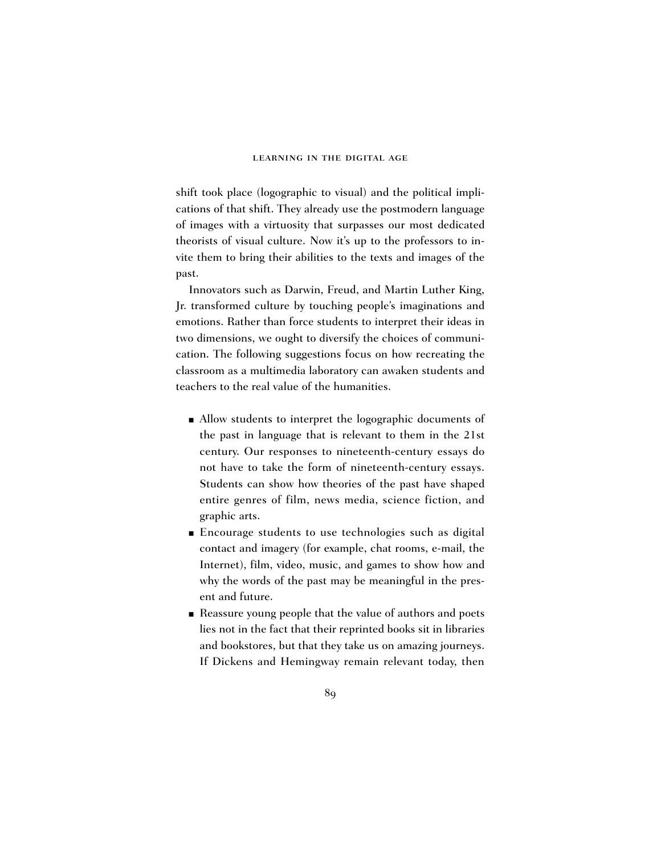shift took place (logographic to visual) and the political implications of that shift. They already use the postmodern language of images with a virtuosity that surpasses our most dedicated theorists of visual culture. Now it's up to the professors to invite them to bring their abilities to the texts and images of the past.

Innovators such as Darwin, Freud, and Martin Luther King, Jr. transformed culture by touching people's imaginations and emotions. Rather than force students to interpret their ideas in two dimensions, we ought to diversify the choices of communication. The following suggestions focus on how recreating the classroom as a multimedia laboratory can awaken students and teachers to the real value of the humanities.

- Allow students to interpret the logographic documents of the past in language that is relevant to them in the 21st century. Our responses to nineteenth-century essays do not have to take the form of nineteenth-century essays. Students can show how theories of the past have shaped entire genres of film, news media, science fiction, and graphic arts.
- Encourage students to use technologies such as digital contact and imagery (for example, chat rooms, e-mail, the Internet), film, video, music, and games to show how and why the words of the past may be meaningful in the present and future.
- Reassure young people that the value of authors and poets lies not in the fact that their reprinted books sit in libraries and bookstores, but that they take us on amazing journeys. If Dickens and Hemingway remain relevant today, then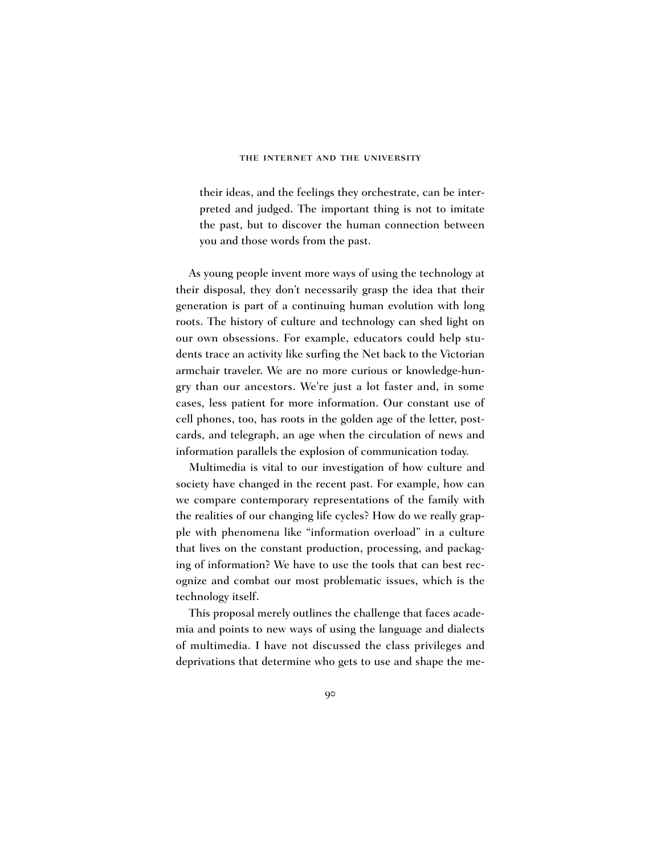their ideas, and the feelings they orchestrate, can be interpreted and judged. The important thing is not to imitate the past, but to discover the human connection between you and those words from the past.

As young people invent more ways of using the technology at their disposal, they don't necessarily grasp the idea that their generation is part of a continuing human evolution with long roots. The history of culture and technology can shed light on our own obsessions. For example, educators could help students trace an activity like surfing the Net back to the Victorian armchair traveler. We are no more curious or knowledge-hungry than our ancestors. We're just a lot faster and, in some cases, less patient for more information. Our constant use of cell phones, too, has roots in the golden age of the letter, postcards, and telegraph, an age when the circulation of news and information parallels the explosion of communication today.

Multimedia is vital to our investigation of how culture and society have changed in the recent past. For example, how can we compare contemporary representations of the family with the realities of our changing life cycles? How do we really grapple with phenomena like "information overload" in a culture that lives on the constant production, processing, and packaging of information? We have to use the tools that can best recognize and combat our most problematic issues, which is the technology itself.

This proposal merely outlines the challenge that faces academia and points to new ways of using the language and dialects of multimedia. I have not discussed the class privileges and deprivations that determine who gets to use and shape the me-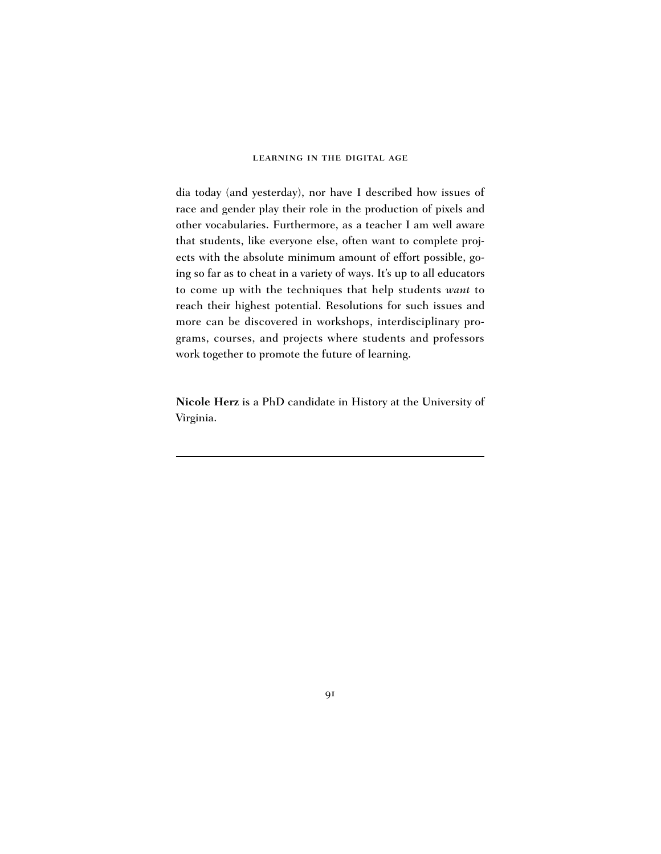dia today (and yesterday), nor have I described how issues of race and gender play their role in the production of pixels and other vocabularies. Furthermore, as a teacher I am well aware that students, like everyone else, often want to complete projects with the absolute minimum amount of effort possible, going so far as to cheat in a variety of ways. It's up to all educators to come up with the techniques that help students *want* to reach their highest potential. Resolutions for such issues and more can be discovered in workshops, interdisciplinary programs, courses, and projects where students and professors work together to promote the future of learning.

**Nicole Herz** is a PhD candidate in History at the University of Virginia.